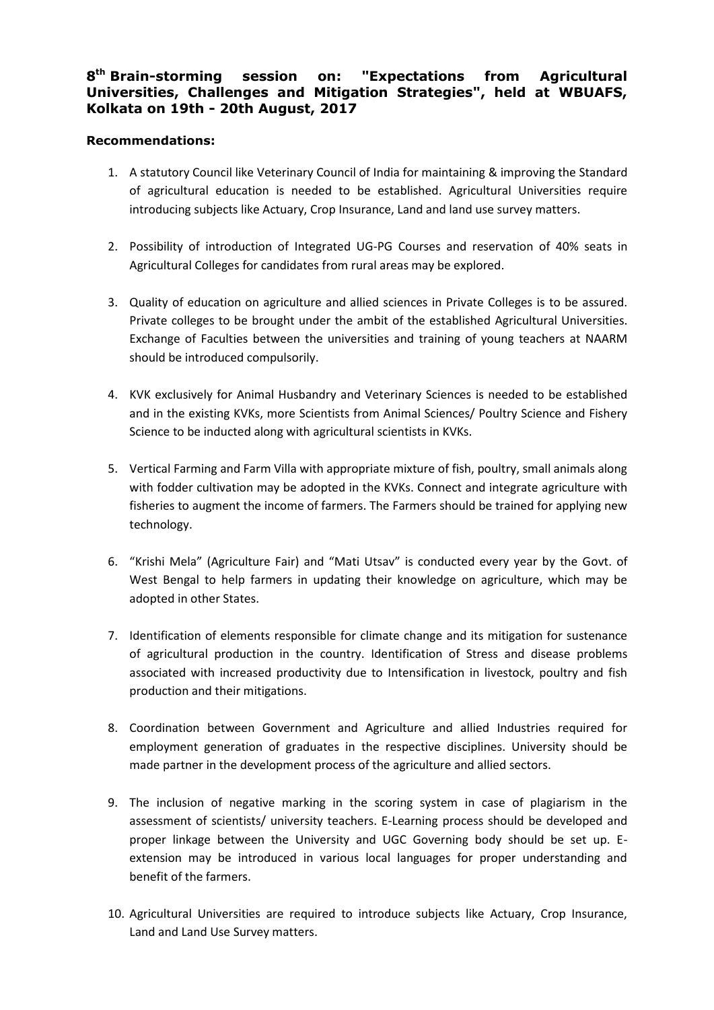## 8<sup>th</sup> Brain-storming session on: "Expectations from Agricultural **Universities, Challenges and Mitigation Strategies", held at WBUAFS, Kolkata on 19th - 20th August, 2017**

## **Recommendations:**

- 1. A statutory Council like Veterinary Council of India for maintaining & improving the Standard of agricultural education is needed to be established. Agricultural Universities require introducing subjects like Actuary, Crop Insurance, Land and land use survey matters.
- 2. Possibility of introduction of Integrated UG-PG Courses and reservation of 40% seats in Agricultural Colleges for candidates from rural areas may be explored.
- 3. Quality of education on agriculture and allied sciences in Private Colleges is to be assured. Private colleges to be brought under the ambit of the established Agricultural Universities. Exchange of Faculties between the universities and training of young teachers at NAARM should be introduced compulsorily.
- 4. KVK exclusively for Animal Husbandry and Veterinary Sciences is needed to be established and in the existing KVKs, more Scientists from Animal Sciences/ Poultry Science and Fishery Science to be inducted along with agricultural scientists in KVKs.
- 5. Vertical Farming and Farm Villa with appropriate mixture of fish, poultry, small animals along with fodder cultivation may be adopted in the KVKs. Connect and integrate agriculture with fisheries to augment the income of farmers. The Farmers should be trained for applying new technology.
- 6. "Krishi Mela" (Agriculture Fair) and "Mati Utsav" is conducted every year by the Govt. of West Bengal to help farmers in updating their knowledge on agriculture, which may be adopted in other States.
- 7. Identification of elements responsible for climate change and its mitigation for sustenance of agricultural production in the country. Identification of Stress and disease problems associated with increased productivity due to Intensification in livestock, poultry and fish production and their mitigations.
- 8. Coordination between Government and Agriculture and allied Industries required for employment generation of graduates in the respective disciplines. University should be made partner in the development process of the agriculture and allied sectors.
- 9. The inclusion of negative marking in the scoring system in case of plagiarism in the assessment of scientists/ university teachers. E-Learning process should be developed and proper linkage between the University and UGC Governing body should be set up. Eextension may be introduced in various local languages for proper understanding and benefit of the farmers.
- 10. Agricultural Universities are required to introduce subjects like Actuary, Crop Insurance, Land and Land Use Survey matters.